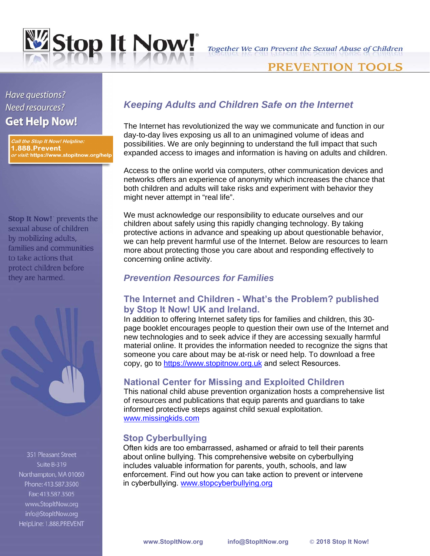

## **PREVENTION TOOLS**

# Have questions? Need resources? **Get Help Now!**

Call the Stop It Now! Helpline: 1.888.Prevent *or visit:* https://www.stopitnow.org/help

**Stop It Now!** prevents the sexual abuse of children by mobilizing adults, families and communities to take actions that protect children before they are harmed.

351 Pleasant Street Suite B-319 Northampton, MA 01060 Phone: 413.587.3500 Fax: 413.587.3505 www.StopItNow.org info@StopItNow.org HelpLine: 1.888.PREVENT

## *Keeping Adults and Children Safe on the Internet*

The Internet has revolutionized the way we communicate and function in our day-to-day lives exposing us all to an unimagined volume of ideas and possibilities. We are only beginning to understand the full impact that such expanded access to images and information is having on adults and children.

Access to the online world via computers, other communication devices and networks offers an experience of anonymity which increases the chance that both children and adults will take risks and experiment with behavior they might never attempt in "real life".

We must acknowledge our responsibility to educate ourselves and our children about safely using this rapidly changing technology. By taking protective actions in advance and speaking up about questionable behavior, we can help prevent harmful use of the Internet. Below are resources to learn more about protecting those you care about and responding effectively to concerning online activity.

## *Prevention Resources for Families*

### **The Internet and Children - What's the Problem? published by Stop It Now! UK and Ireland.**

In addition to offering Internet safety tips for families and children, this 30 page booklet encourages people to question their own use of the Internet and new technologies and to seek advice if they are accessing sexually harmful material online. It provides the information needed to recognize the signs that someone you care about may be at-risk or need help. To download a free copy, go to https[://www.stopitnow.org.uk](http://www.stopitnow.org.uk/) and select Resources.

## **National Center for Missing and Exploited Children**

This national child abuse prevention organization hosts a comprehensive list of resources and publications that equip parents and guardians to take informed protective steps against child sexual exploitation. [www.missingkids.com](http://www.missingkids.com/)

## **Stop Cyberbullying**

Often kids are too embarrassed, ashamed or afraid to tell their parents about online bullying. This comprehensive website on cyberbullying includes valuable infor[mation for parents, youth, schools, and law](http://www.fbi.gov/publications/pguide/pguidee.htm)  enforcement. Find out how you can take action to prevent or intervene in cyberbullying. www.stopcyberbullying.org